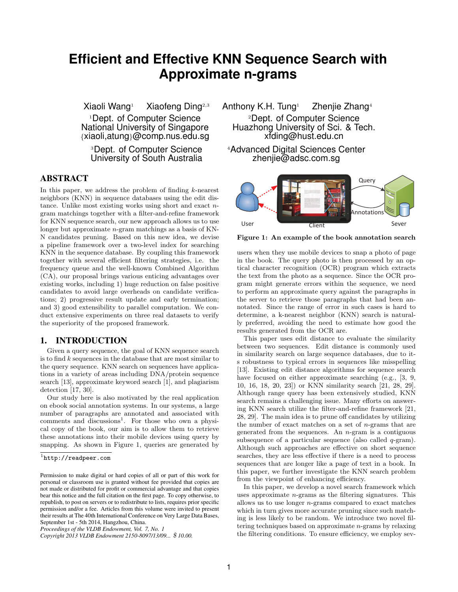# **Efficient and Effective KNN Sequence Search with Approximate n-grams**

<sup>1</sup>Dept. of Computer Science National University of Singapore *{*xiaoli,atung*}*@comp.nus.edu.sg

<sup>3</sup>Dept. of Computer Science University of South Australia

# ABSTRACT

In this paper, we address the problem of finding *k*-nearest neighbors (KNN) in sequence databases using the edit distance. Unlike most existing works using short and exact *n*gram matchings together with a filter-and-refine framework for KNN sequence search, our new approach allows us to use longer but approximate *n*-gram matchings as a basis of KN-N candidates pruning. Based on this new idea, we devise a pipeline framework over a two-level index for searching KNN in the sequence database. By coupling this framework together with several efficient filtering strategies, i.e. the frequency queue and the well-known Combined Algorithm (CA), our proposal brings various enticing advantages over existing works, including 1) huge reduction on false positive candidates to avoid large overheads on candidate verifications; 2) progressive result update and early termination; and 3) good extensibility to parallel computation. We conduct extensive experiments on three real datasets to verify the superiority of the proposed framework.

# 1. INTRODUCTION

Given a query sequence, the goal of KNN sequence search is to find *k* sequences in the database that are most similar to the query sequence. KNN search on sequences have applications in a variety of areas including DNA/protein sequence search [13], approximate keyword search [1], and plagiarism detection [17, 30].

Our study here is also motivated by the real application on ebook social annotation systems. In our systems, a large number of paragraphs are annotated and associated with comments and discussions<sup>1</sup>. For those who own a physical copy of the book, our aim is to allow them to retrieve these annotations into their mobile devices using query by snapping. As shown in Figure 1, queries are generated by

*Proceedings of the VLDB Endowment, Vol. 7, No. 1*

Xiaoli Wang<sup>1</sup> Xiaofeng Ding<sup>2,3</sup> Anthony K.H. Tung<sup>1</sup> Zhenjie Zhang<sup>4</sup>

<sup>2</sup>Dept. of Computer Science Huazhong University of Sci. & Tech. xfding@hust.edu.cn

<sup>4</sup>Advanced Digital Sciences Center zhenjie@adsc.com.sg



**Figure 1: An example of the book annotation search**

users when they use mobile devices to snap a photo of page in the book. The query photo is then processed by an optical character recognition (OCR) program which extracts the text from the photo as a sequence. Since the OCR program might generate errors within the sequence, we need to perform an approximate query against the paragraphs in the server to retrieve those paragraphs that had been annotated. Since the range of error in such cases is hard to determine, a k-nearest neighbor (KNN) search is naturally preferred, avoiding the need to estimate how good the results generated from the OCR are.

This paper uses edit distance to evaluate the similarity between two sequences. Edit distance is commonly used in similarity search on large sequence databases, due to its robustness to typical errors in sequences like misspelling [13]. Existing edit distance algorithms for sequence search have focused on either approximate searching (e.g., [3, 9, 10, 16, 18, 20, 23]) or KNN similarity search [21, 28, 29]. Although range query has been extensively studied, KNN search remains a challenging issue. Many efforts on answering KNN search utilize the filter-and-refine framework [21, 28, 29]. The main idea is to prune off candidates by utilizing the number of exact matches on a set of *n*-grams that are generated from the sequences. An *n*-gram is a contiguous subsequence of a particular sequence (also called *q*-gram). Although such approaches are effective on short sequence searches, they are less effective if there is a need to process sequences that are longer like a page of text in a book. In this paper, we further investigate the KNN search problem from the viewpoint of enhancing efficiency.

In this paper, we develop a novel search framework which uses approximate *n*-grams as the filtering signatures. This allows us to use longer *n*-grams compared to exact matches which in turn gives more accurate pruning since such matching is less likely to be random. We introduce two novel filtering techniques based on approximate *n*-grams by relaxing the filtering conditions. To ensure efficiency, we employ sev-

<sup>1</sup> http://readpeer.com

Permission to make digital or hard copies of all or part of this work for personal or classroom use is granted without fee provided that copies are not made or distributed for profit or commercial advantage and that copies bear this notice and the full citation on the first page. To copy otherwise, to republish, to post on servers or to redistribute to lists, requires prior specific permission and/or a fee. Articles from this volume were invited to present their results at The 40th International Conference on Very Large Data Bases, September 1st - 5th 2014, Hangzhou, China.

*Copyright 2013 VLDB Endowment 2150-8097/13/09... \$ 10.00.*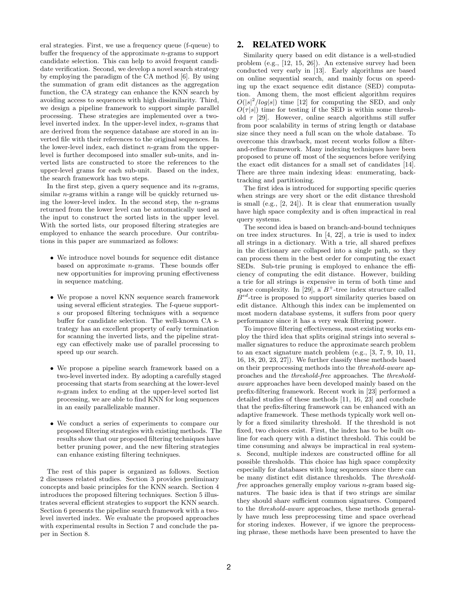eral strategies. First, we use a frequency queue (f-queue) to buffer the frequency of the approximate *n*-grams to support candidate selection. This can help to avoid frequent candidate verification. Second, we develop a novel search strategy by employing the paradigm of the CA method [6]. By using the summation of gram edit distances as the aggregation function, the CA strategy can enhance the KNN search by avoiding access to sequences with high dissimilarity. Third, we design a pipeline framework to support simple parallel processing. These strategies are implemented over a twolevel inverted index. In the upper-level index, *n*-grams that are derived from the sequence database are stored in an inverted file with their references to the original sequences. In the lower-level index, each distinct *n*-gram from the upperlevel is further decomposed into smaller sub-units, and inverted lists are constructed to store the references to the upper-level grams for each sub-unit. Based on the index, the search framework has two steps.

In the first step, given a query sequence and its *n*-grams, similar *n*-grams within a range will be quickly returned using the lower-level index. In the second step, the *n*-grams returned from the lower level can be automatically used as the input to construct the sorted lists in the upper level. With the sorted lists, our proposed filtering strategies are employed to enhance the search procedure. Our contributions in this paper are summarized as follows:

- *•* We introduce novel bounds for sequence edit distance based on approximate *n*-grams. These bounds offer new opportunities for improving pruning effectiveness in sequence matching.
- *•* We propose a novel KNN sequence search framework using several efficient strategies. The f-queue supports our proposed filtering techniques with a sequence buffer for candidate selection. The well-known CA strategy has an excellent property of early termination for scanning the inverted lists, and the pipeline strategy can effectively make use of parallel processing to speed up our search.
- *•* We propose a pipeline search framework based on a two-level inverted index. By adopting a carefully staged processing that starts from searching at the lower-level *n*-gram index to ending at the upper-level sorted list processing, we are able to find KNN for long sequences in an easily parallelizable manner.
- *•* We conduct a series of experiments to compare our proposed filtering strategies with existing methods. The results show that our proposed filtering techniques have better pruning power, and the new filtering strategies can enhance existing filtering techniques.

The rest of this paper is organized as follows. Section 2 discusses related studies. Section 3 provides preliminary concepts and basic principles for the KNN search. Section 4 introduces the proposed filtering techniques. Section 5 illustrates several efficient strategies to support the KNN search. Section 6 presents the pipeline search framework with a twolevel inverted index. We evaluate the proposed approaches with experimental results in Section 7 and conclude the paper in Section 8.

# 2. RELATED WORK

Similarity query based on edit distance is a well-studied problem (e.g., [12, 15, 26]). An extensive survey had been conducted very early in [13]. Early algorithms are based on online sequential search, and mainly focus on speeding up the exact sequence edit distance (SED) computation. Among them, the most efficient algorithm requires  $O(|s|^2/log|s|)$  time [12] for computing the SED, and only  $O(\tau|s|)$  time for testing if the SED is within some threshold  $\tau$  [29]. However, online search algorithms still suffer from poor scalability in terms of string length or database size since they need a full scan on the whole database. To overcome this drawback, most recent works follow a filterand-refine framework. Many indexing techniques have been proposed to prune off most of the sequences before verifying the exact edit distances for a small set of candidates [14]. There are three main indexing ideas: enumerating, backtracking and partitioning.

The first idea is introduced for supporting specific queries when strings are very short or the edit distance threshold is small (e.g., [2, 24]). It is clear that enumeration usually have high space complexity and is often impractical in real query systems.

The second idea is based on branch-and-bound techniques on tree index structures. In [4, 22], a trie is used to index all strings in a dictionary. With a trie, all shared prefixes in the dictionary are collapsed into a single path, so they can process them in the best order for computing the exact SEDs. Sub-trie pruning is employed to enhance the efficiency of computing the edit distance. However, building a trie for all strings is expensive in term of both time and space complexity. In [29], a  $B^+$ -tree index structure called *B ed*-tree is proposed to support similarity queries based on edit distance. Although this index can be implemented on most modern database systems, it suffers from poor query performance since it has a very weak filtering power.

To improve filtering effectiveness, most existing works employ the third idea that splits original strings into several smaller signatures to reduce the approximate search problem to an exact signature match problem (e.g., [3, 7, 9, 10, 11, 16, 18, 20, 23, 27]). We further classify these methods based on their preprocessing methods into the *threshold-aware* approaches and the *threshold-free* approaches. The *thresholdaware* approaches have been developed mainly based on the prefix-filtering framework. Recent work in [23] performed a detailed studies of these methods [11, 16, 23] and conclude that the prefix-filtering framework can be enhanced with an adaptive framework. These methods typically work well only for a fixed similarity threshold. If the threshold is not fixed, two choices exist. First, the index has to be built online for each query with a distinct threshold. This could be time consuming and always be impractical in real systems. Second, multiple indexes are constructed offline for all possible thresholds. This choice has high space complexity especially for databases with long sequences since there can be many distinct edit distance thresholds. The *thresholdfree* approaches generally employ various *n*-gram based signatures. The basic idea is that if two strings are similar they should share sufficient common signatures. Compared to the *threshold-aware* approaches, these methods generally have much less preprocessing time and space overhead for storing indexes. However, if we ignore the preprocessing phrase, these methods have been presented to have the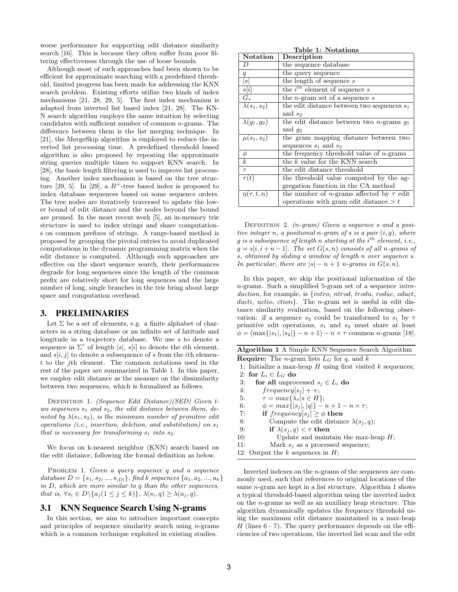worse performance for supporting edit distance similarity search [16]. This is because they often suffer from poor filtering effectiveness through the use of loose bounds.

Although most of such approaches had been shown to be efficient for approximate searching with a predefined threshold, limited progress has been made for addressing the KNN search problem. Existing efforts utilize two kinds of index mechanisms [21, 28, 29, 5]. The first index mechanism is adapted from inverted list based index [21, 28]. The KN-N search algorithm employs the same intuition by selecting candidates with sufficient number of common *n*-grams. The difference between them is the list merging technique. In [21], the MergeSkip algorithm is employed to reduce the inverted list processing time. A predefined threshold based algorithm is also proposed by repeating the approximate string queries multiple times to support KNN search. In [28], the basic length filtering is used to improve list processing. Another index mechanism is based on the tree structure [29, 5]. In [29], a  $B^+$ -tree based index is proposed to index database sequences based on some sequence orders. The tree nodes are iteratively traversed to update the lower bound of edit distance and the nodes beyond the bound are pruned. In the most recent work [5], an in-memory trie structure is used to index strings and share computations on common prefixes of strings. A range-based method is proposed by grouping the pivotal entries to avoid duplicated computations in the dynamic programming matrix when the edit distance is computed. Although such approaches are effective on the short sequence search, their performances degrade for long sequences since the length of the common prefix are relatively short for long sequences and the large number of long, single branches in the trie bring about large space and computation overhead.

# 3. PRELIMINARIES

Let  $\Sigma$  be a set of elements, e.g. a finite alphabet of characters in a string database or an infinite set of latitude and longitude in a trajectory database. We use *s* to denote a sequence in  $\Sigma^*$  of length  $|s|$ ,  $s[i]$  to denote the *i*th element, and *s*[*i, j*] to denote a subsequence of *s* from the *i*th element to the *j*th element. The common notations used in the rest of the paper are summarized in Table 1. In this paper, we employ edit distance as the measure on the dissimilarity between two sequences, which is formalized as follows.

Definition 1. *(Sequence Edit Distance)(SED) Given two sequences s*<sup>1</sup> *and s*2*, the edit distance between them, denoted by*  $\lambda(s_1, s_2)$ *, is the minimum number of primitive edit operations (i.e., insertion, deletion, and substitution) on s*<sup>1</sup> *that is necessary for transforming s*<sup>1</sup> *into s*2*.*

We focus on k-nearest neighbor (KNN) search based on the edit distance, following the formal definition as below.

Problem 1. *Given a query sequence q and a sequence database*  $D = \{s_1, s_2, ..., s_{|D|}\}$ *, find k sequences*  $\{a_1, a_2, ..., a_k\}$ *in D, which are more similar to q than the other sequences,* that is,  $\forall s_i \in D \setminus \{a_j (1 \leq j \leq k)\}, \lambda(s_i, q) \geq \lambda(a_j, q).$ 

# 3.1 KNN Sequence Search Using N-grams

In this section, we aim to introduce important concepts and principles of sequence similarity search using *n*-grams which is a common technique exploited in existing studies.

| <b>Notation</b>               | Table 1: Notations<br>Description                     |
|-------------------------------|-------------------------------------------------------|
| D                             | the sequence database                                 |
|                               |                                                       |
| q                             | the query sequence                                    |
| s <sub>l</sub>                | the length of sequence s                              |
| s[i]                          | the $i^{th}$ element of sequence s                    |
| $\overline{G}_s$              | the <i>n</i> -gram set of a sequence $s$              |
| $\overline{\lambda(s_1,s_2)}$ | the edit distance between two sequences $s_1$         |
|                               | and $s_2$                                             |
| $\lambda(g_1,g_2)$            | the edit distance between two <i>n</i> -grams $g_1$   |
|                               | and $q_2$                                             |
| $\mu(s_1, s_2)$               | the gram mapping distance between two                 |
|                               | sequences $s_1$ and $s_2$                             |
| $\phi$                        | the frequency threshold value of $n$ -grams           |
| $\boldsymbol{k}$              | the $k$ value for the KNN search                      |
| $\tau$                        | the edit distance threshold                           |
| $\tau(t)$                     | the threshold value computed by the ag-               |
|                               | gregation function in the CA method                   |
| $\eta(\tau,t,n)$              | the number of <i>n</i> -grams affected by $\tau$ edit |
|                               | operations with gram edit distance $> t$              |

Definition 2. *(n-gram) Given a sequence s and a positive integer n, a positional n-gram of s is a pair* (*i, g*)*, where g is a subsequence of length n starting at the i th element, i.e.,*  $q = s[i, i + n - 1]$ *. The set*  $G(s, n)$  *consists of all n-grams of s, obtained by sliding a window of length n over sequence s. In particular, there are*  $|s| - n + 1$  *n*-grams in  $G(s, n)$ .

In this paper, we skip the positional information of the *n*-grams. Such a simplified 5-gram set of a sequence *introduction*, for example, is *{intro*, *ntrod*, *trodu*, *roduc*, *oduct*, *ducti*, *uctio*, *ction}*. The *n*-gram set is useful in edit distance similarity evaluation, based on the following observation: if a sequence  $s_2$  could be transformed to  $s_1$  by  $\tau$ primitive edit operations, *s*<sup>1</sup> and *s*<sup>2</sup> must share at least  $\phi = (\max\{|s_1|, |s_2|\} - n + 1) - n \times \tau$  common *n*-grams [18].

|  |  |  |  | Algorithm 1 A Simple KNN Sequence Search Algorithm |
|--|--|--|--|----------------------------------------------------|
|  |  |  |  |                                                    |

**Require:** The *n*-gram lists *L<sup>G</sup>* for *q*, and *k*

- 1: Initialize a max-heap *H* using first visited *k* sequences; 2: **for**  $L_i \in L_G$  **do**
- 3: **for all** unprocessed  $s_i \in L_i$  **do**
- 4:  $frequency[s_i] + +;$
- 5:  $\tau = max\{\lambda_s | s \in H\};$
- 6:  $\phi = max\{|s_j|, |q|\} n + 1 n \times \tau;$
- 7: **if**  $frequency[s_j] \geq \phi$  **then**
- 8: Compute the edit distance  $\lambda(s_j, q)$ ;
- 9: **if**  $\lambda(s_j, q) < \tau$  **then**
- 10: Update and maintain the max-heap *H*;
- 11: Mark *s<sup>j</sup>* as a processed sequence;
- 12: Output the *k* sequences in *H*;

Inverted indexes on the *n*-grams of the sequences are commonly used, such that references to original locations of the same *n*-gram are kept in a list structure. Algorithm 1 shows a typical threshold-based algorithm using the inverted index on the *n*-grams as well as an auxiliary heap structure. This algorithm dynamically updates the frequency threshold using the maximum edit distance maintained in a max-heap *H* (lines 6 - 7). The query performance depends on the efficiencies of two operations, the inverted list scan and the edit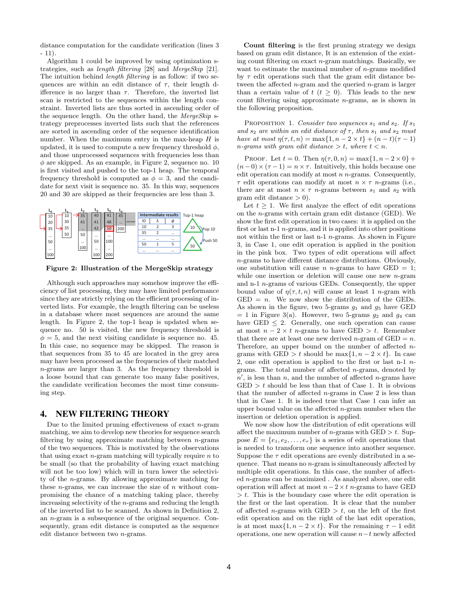distance computation for the candidate verification (lines 3 - 11).

Algorithm 1 could be improved by using optimization strategies, such as *length filtering* [28] and *MergeSkip* [21]. The intuition behind *length filtering* is as follow: if two sequences are within an edit distance of  $\tau$ , their length difference is no larger than  $\tau$ . Therefore, the inverted list scan is restricted to the sequences within the length constraint. Inverted lists are thus sorted in ascending order of the sequence length. On the other hand, the *MergeSkip* strategy preprocesses inverted lists such that the references are sorted in ascending order of the sequence identification number. When the maximum entry in the max-heap *H* is updated, it is used to compute a new frequency threshold  $\phi$ , and those unprocessed sequences with frequencies less than  $\phi$  are skipped. As an example, in Figure 2, sequence no. 10 is first visited and pushed to the top-1 heap. The temporal frequency threshold is computed as  $\phi = 3$ , and the candidate for next visit is sequence no. 35. In this way, sequences 20 and 30 are skipped as their frequencies are less than 3.



**Figure 2: Illustration of the MergeSkip strategy**

Although such approaches may somehow improve the efficiency of list processing, they may have limited performance since they are strictly relying on the efficient processing of inverted lists. For example, the length filtering can be useless in a database where most sequences are around the same length. In Figure 2, the top-1 heap is updated when sequence no. 50 is visited, the new frequency threshold is  $\phi = 5$ , and the next visiting candidate is sequence no. 45. In this case, no sequence may be skipped. The reason is that sequences from 35 to 45 are located in the grey area may have been processed as the frequencies of their matched *n*-grams are larger than 3. As the frequency threshold is a loose bound that can generate too many false positives, the candidate verification becomes the most time consuming step.

# 4. NEW FILTERING THEORY

Due to the limited pruning effectiveness of exact *n*-gram matching, we aim to develop new theories for sequence search filtering by using approximate matching between *n*-grams of the two sequences. This is motivated by the observations that using exact *n*-gram matching will typically require *n* to be small (so that the probability of having exact matching will not be too low) which will in turn lower the selectivity of the *n*-grams. By allowing approximate matching for these *n*-grams, we can increase the size of *n* without compromising the chance of a matching taking place, thereby increasing selectivity of the *n*-grams and reducing the length of the inverted list to be scanned. As shown in Definition 2, an *n*-gram is a subsequence of the original sequence. Consequently, gram edit distance is computed as the sequence edit distance between two *n*-grams.

**Count filtering** is the first pruning strategy we design based on gram edit distance, It is an extension of the existing count filtering on exact *n*-gram matchings. Basically, we want to estimate the maximal number of *n*-grams modified by  $\tau$  edit operations such that the gram edit distance between the affected *n*-gram and the queried *n*-gram is larger than a certain value of  $t$  ( $t \geq 0$ ). This leads to the new count filtering using approximate *n*-grams, as is shown in the following proposition.

PROPOSITION 1. *Consider two sequences*  $s_1$  *and*  $s_2$ *. If*  $s_1$ and  $s_2$  are within an edit distance of  $\tau$ , then  $s_1$  and  $s_2$  must *have at most*  $\eta(\tau, t, n) = \max\{1, n - 2 \times t\} + (n - t)(\tau - 1)$ *n-grams with gram edit distance*  $> t$ *, where*  $t < n$ *.* 

PROOF. Let  $t = 0$ . Then  $\eta(\tau, 0, n) = \max\{1, n - 2 \times 0\}$  +  $(n-0) \times (\tau-1) = n \times \tau$ . Intuitively, this holds because one edit operation can modify at most *n n*-grams. Consequently, *τ* edit operations can modify at most *n × τ n*-grams (i.e., there are at most  $n \times \tau$  *n*-grams between  $s_1$  and  $s_2$  with gram edit distance *>* 0).

Let  $t \geq 1$ . We first analyze the effect of edit operations on the *n*-grams with certain gram edit distance (GED). We show the first edit operation in two cases: it is applied on the first or last n-1 *n*-grams, and it is applied into other positions not within the first or last n-1 *n*-grams. As shown in Figure 3, in Case 1, one edit operation is applied in the position in the pink box. Two types of edit operations will affect *n*-grams to have different distance distributions. Obviously, one substitution will cause *n n*-grams to have  $GED = 1$ ; while one insertion or deletion will cause one new *n*-gram and n-1 *n*-grams of various GEDs. Consequently, the upper bound value of  $\eta(\tau, t, n)$  will cause at least 1 *n*-gram with  $GED = n$ . We now show the distribution of the GEDs. As shown in the figure, two 5-grams  $g_1$  and  $g_5$  have GED  $= 1$  in Figure 3(a). However, two 5-grams  $g_2$  and  $g_4$  can have  $GED \leq 2$ . Generally, one such operation can cause at most  $n-2 \times t$  *n*-grams to have GED  $> t$ . Remember that there are at least one new derived *n*-gram of  $GED = n$ . Therefore, an upper bound on the number of affected *n*grams with GED  $> t$  should be max $\{1, n - 2 \times t\}$ . In case 2, one edit operation is applied to the first or last n-1 *n*grams. The total number of affected *n*-grams, denoted by  $n'$ , is less than  $n$ , and the number of affected *n*-grams have  $GED > t$  should be less than that of Case 1. It is obvious that the number of affected *n*-grams in Case 2 is less than that in Case 1. It is indeed true that Case 1 can infer an upper bound value on the affected *n*-gram number when the insertion or deletion operation is applied.

We now show how the distribution of edit operations will affect the maximum number of *n*-grams with  $\text{GED} > t$ . Suppose  $E = \{e_1, e_2, \ldots, e_{\tau}\}\$ is a series of edit operations that is needed to transform one sequence into another sequence. Suppose the  $\tau$  edit operations are evenly distributed in a sequence. That means no *n*-gram is simultaneously affected by multiple edit operations. In this case, the number of affected *n*-grams can be maximized . As analyzed above, one edit operation will affect at most *n−*2*×t n*-grams to have GED *> t*. This is the boundary case where the edit operation is the first or the last operation. It is clear that the number of affected *n*-grams with  $\text{GED} > t$ , on the left of the first edit operation and on the right of the last edit operation, is at most max $\{1, n-2 \times t\}$ . For the remaining  $\tau - 1$  edit operations, one new operation will cause *n−t* newly affected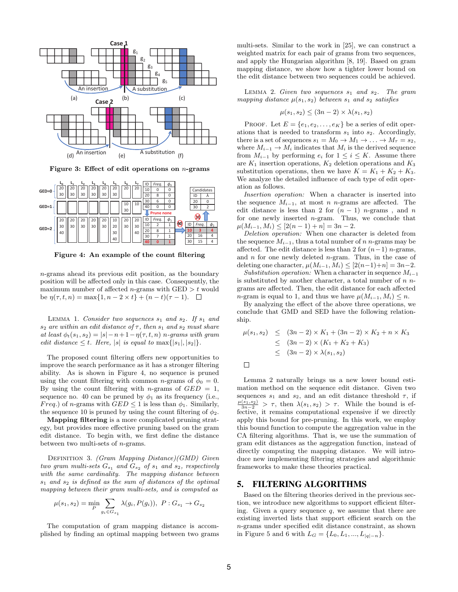

**Figure 3: Effect of edit operations on** *n***-grams**



**Figure 4: An example of the count filtering**

*n*-grams ahead its previous edit position, as the boundary position will be affected only in this case. Consequently, the maximum number of affected *n*-grams with GED *> t* would  $\text{be } \eta(\tau, t, n) = \max\{1, n - 2 \times t\} + (n - t)(\tau - 1).$ 

LEMMA 1. *Consider two sequences*  $s_1$  *and*  $s_2$ *. If*  $s_1$  *and*  $s_2$  *are within an edit distance of*  $\tau$ *, then*  $s_1$  *and*  $s_2$  *must share*  $\alpha t$  *least*  $\phi_t(s_1, s_2) = |s| - n + 1 - \eta(\tau, t, n)$  *n*-grams with gram *edit distance*  $\leq t$ *. Here,*  $|s|$  *is equal to* max $\{|s_1|, |s_2|\}$ *.* 

The proposed count filtering offers new opportunities to improve the search performance as it has a stronger filtering ability. As is shown in Figure 4, no sequence is pruned using the count filtering with common *n*-grams of  $\phi_0 = 0$ . By using the count filtering with *n*-grams of  $GED = 1$ , sequence no. 40 can be pruned by  $\phi_1$  as its frequency (i.e., *Freq.*) of *n*-grams with  $GED \leq 1$  is less than  $\phi_1$ . Similarly, the sequence 10 is pruned by using the count filtering of  $\phi_2$ .

**Mapping filtering** is a more complicated pruning strategy, but provides more effective pruning based on the gram edit distance. To begin with, we first define the distance between two multi-sets of *n*-grams.

Definition 3. *(Gram Mapping Distance)(GMD) Given two gram multi-sets*  $G_{s_1}$  *and*  $G_{s_2}$  *of*  $s_1$  *and*  $s_2$ *, respectively with the same cardinality. The mapping distance between s*<sup>1</sup> *and s*<sup>2</sup> *is defined as the sum of distances of the optimal mapping between their gram multi-sets, and is computed as*

$$
\mu(s_1, s_2) = \min_{P} \sum_{g_i \in G_{s_1}} \lambda(g_i, P(g_i)), \ P: G_{s_1} \to G_{s_2}
$$

The computation of gram mapping distance is accomplished by finding an optimal mapping between two grams multi-sets. Similar to the work in [25], we can construct a weighted matrix for each pair of grams from two sequences, and apply the Hungarian algorithm [8, 19]. Based on gram mapping distance, we show how a tighter lower bound on the edit distance between two sequences could be achieved.

Lemma 2. *Given two sequences s*<sup>1</sup> *and s*2*. The gram mapping distance*  $\mu(s_1, s_2)$  *between*  $s_1$  *and*  $s_2$  *satisfies* 

$$
\mu(s_1, s_2) \le (3n - 2) \times \lambda(s_1, s_2)
$$

PROOF. Let  $E = \{e_1, e_2, \ldots, e_K\}$  be a series of edit operations that is needed to transform *s*<sup>1</sup> into *s*2. Accordingly, there is a set of sequences  $s_1 = M_0 \rightarrow M_1 \rightarrow \ldots \rightarrow M_\tau = s_2$ , where  $M_{i-1} \to M_i$  indicates that  $M_i$  is the derived sequence from  $M_{i-1}$  by performing  $e_i$  for  $1 \leq i \leq K$ . Assume there are *K*<sup>1</sup> insertion operations, *K*<sup>2</sup> deletion operations and *K*<sup>3</sup> substitution operations, then we have  $K = K_1 + K_2 + K_3$ . We analyze the detailed influence of each type of edit operation as follows.

*Insertion operation:* When a character is inserted into the sequence  $M_{i-1}$ , at most *n* n-grams are affected. The edit distance is less than 2 for  $(n-1)$  *n*-grams, and *n* for one newly inserted *n*-gram. Thus, we conclude that  $\mu(M_{i-1}, M_i) \leq [2(n-1) + n] = 3n - 2.$ 

*Deletion operation:* When one character is deleted from the sequence  $M_{i-1}$ , thus a total number of *n n*-grams may be affected. The edit distance is less than 2 for  $(n-1)$  *n*-grams, and *n* for one newly deleted *n*-gram. Thus, in the case of deleting one character,  $\mu(M_{i-1}, M_i) \leq [2(n-1)+n] = 3n-2$ .

*Substitution operation:* When a character in sequence  $M_{i-1}$ is substituted by another character, a total number of *n n*grams are affected. Then, the edit distance for each affected *n*-gram is equal to 1, and thus we have  $\mu(M_{i-1}, M_i) \leq n$ .

By analyzing the effect of the above three operations, we conclude that GMD and SED have the following relationship.

$$
\mu(s_1, s_2) \leq (3n - 2) \times K_1 + (3n - 2) \times K_2 + n \times K_3
$$
  
\n
$$
\leq (3n - 2) \times (K_1 + K_2 + K_3)
$$
  
\n
$$
\leq (3n - 2) \times \lambda(s_1, s_2)
$$

Lemma 2 naturally brings us a new lower bound estimation method on the sequence edit distance. Given two sequences  $s_1$  and  $s_2$ , and an edit distance threshold  $\tau$ , if  $\frac{\mu(s_1,s_2)}{3n-2}$  >  $\tau$ , then  $\lambda(s_1,s_2)$  >  $\tau$ . While the bound is effective, it remains computational expensive if we directly apply this bound for pre-pruning. In this work, we employ this bound function to compute the aggregation value in the CA filtering algorithms. That is, we use the summation of gram edit distances as the aggregation function, instead of directly computing the mapping distance. We will introduce new implementing filtering strategies and algorithmic frameworks to make these theories practical.

### 5. FILTERING ALGORITHMS

Based on the filtering theories derived in the previous section, we introduce new algorithms to support efficient filtering. Given a query sequence *q*, we assume that there are existing inverted lists that support efficient search on the *n*-grams under specified edit distance constraint, as shown in Figure 5 and 6 with  $L_G = \{L_0, L_1, ..., L_{|q|-n}\}.$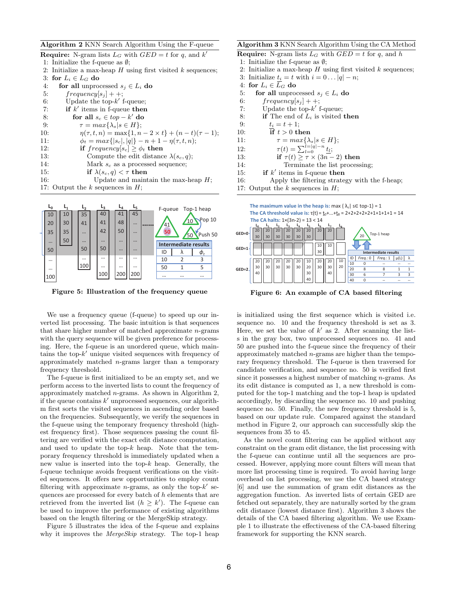**Algorithm 2** KNN Search Algorithm Using the F-queue

**Require:** N-gram lists  $L_G$  with  $GED = t$  for  $q$ , and  $k'$ 1: Initialize the f-queue as *∅*;

- 2: Initialize a max-heap *H* using first visited *k* sequences;
- 3: for  $L_i \in L_G$  do
- 4: **for all** unprocessed  $s_j \in L_i$  **do**
- 5:  $frequency[s_i] + +;$
- 6: Update the top-*k ′* f-queue;
- 7: **if** *k ′* items in f-queue **then**
- 8: **for all**  $s_c \in top k'$  **do**
- 9:  $\tau = max\{\lambda_s | s \in H\};$ 10:  $\eta(\tau, t, n) = \max\{1, n - 2 \times t\} + (n - t)(\tau - 1);$
- 11:  $\phi_t = max\{|s_c|, |q|\} n + 1 \eta(\tau, t, n);$
- 12: **if**  $frequency[s_c] \geq \phi_t$  **then**
- 13: Compute the edit distance  $\lambda(s_c, q)$ ;
- 14: Mark  $s_c$  as a processed sequence;
- 15: **if**  $\lambda(s_c, q) < \tau$  **then**
- 16: Update and maintain the max-heap *H*;
- 17: Output the *k* sequences in *H*;



**Figure 5: Illustration of the frequency queue**

We use a frequency queue (f-queue) to speed up our inverted list processing. The basic intuition is that sequences that share higher number of matched approximate *n*-grams with the query sequence will be given preference for processing. Here, the f-queue is an unordered queue, which maintains the top-*k ′* unique visited sequences with frequency of approximately matched *n*-grams larger than a temporary frequency threshold.

The f-queue is first initialized to be an empty set, and we perform access to the inverted lists to count the frequency of approximately matched *n*-grams. As shown in Algorithm 2, if the queue contains *k ′* unprocessed sequences, our algorithm first sorts the visited sequences in ascending order based on the frequencies. Subsequently, we verify the sequences in the f-queue using the temporary frequency threshold (highest frequency first). Those sequences passing the count filtering are verified with the exact edit distance computation, and used to update the top-*k* heap. Note that the temporary frequency threshold is immediately updated when a new value is inserted into the top-*k* heap. Generally, the f-queue technique avoids frequent verifications on the visited sequences. It offers new opportunities to employ count filtering with approximate *n*-grams, as only the top-*k ′* sequences are processed for every batch of *h* elements that are retrieved from the inverted list  $(h \geq k')$ . The f-queue can be used to improve the performance of existing algorithms based on the length filtering or the MergeSkip strategy.

Figure 5 illustrates the idea of the f-queue and explains why it improves the *MergeSkip* strategy. The top-1 heap

### **Algorithm 3** KNN Search Algorithm Using the CA Method

**Require:** N-gram lists  $L_G$  with  $GED = t$  for *q*, and *h* 

- 1: Initialize the f-queue as *∅*;
- 2: Initialize a max-heap *H* using first visited *k* sequences;
- 3: Initialize  $t_i = t$  with  $i = 0 \dots |q| n$ ;
- 4: for  $L_i \in L_G$  do
- 5: **for all** unprocessed  $s_i \in L_i$  **do**
- 6:  $frequency[s_j] + +$ ;
- 7: Update the top-*k ′* f-queue;
- 8: **if** The end of *L<sup>i</sup>* is visited **then**
- 9:  $t_i = t + 1;$
- 10: **if**  $t > 0$  **then**
- 11:  $\tau = max\{\lambda_s | s \in H\};$
- 12:  $\tau(t) = \sum_{l=0}^{l=|q|-n} \underline{t_l};$
- 13: **if**  $\tau(t) \geq \tau \times (3n-2)$  **then**
- 14: Terminate the list processing;
- 15: **if** *k ′* items in f-queue **then**
- 16: Apply the filtering strategy with the f-heap;
- 17: Output the *k* sequences in *H*;



**Figure 6: An example of CA based filtering**

is initialized using the first sequence which is visited i.e. sequence no. 10 and the frequency threshold is set as 3. Here, we set the value of  $k'$  as 2. After scanning the lists in the gray box, two unprocessed sequences no. 41 and 50 are pushed into the f-queue since the frequency of their approximately matched *n*-grams are higher than the temporary frequency threshold. The f-queue is then traversed for candidate verification, and sequence no. 50 is verified first since it possesses a highest number of matching *n*-grams. As its edit distance is computed as 1, a new threshold is computed for the top-1 matching and the top-1 heap is updated accordingly, by discarding the sequence no. 10 and pushing sequence no. 50. Finally, the new frequency threshold is 5, based on our update rule. Compared against the standard method in Figure 2, our approach can successfully skip the sequences from 35 to 45.

As the novel count filtering can be applied without any constraint on the gram edit distance, the list processing with the f-queue can continue until all the sequences are processed. However, applying more count filters will mean that more list processing time is required. To avoid having large overhead on list processing, we use the CA based strategy [6] and use the summation of gram edit distances as the aggregation function. As inverted lists of certain GED are fetched out separately, they are naturally sorted by the gram edit distance (lowest distance first). Algorithm 3 shows the details of the CA based filtering algorithm. We use Example 1 to illustrate the effectiveness of the CA-based filtering framework for supporting the KNN search.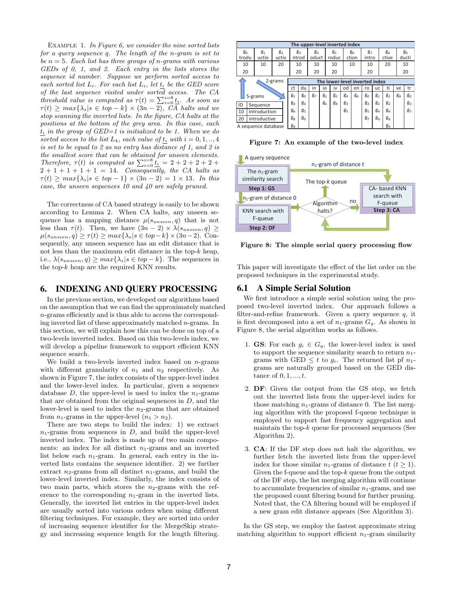Example 1. *In Figure 6, we consider the nine sorted lists for a query sequence q. The length of the n-gram is set to be n* = 5*. Each list has three groups of n-grams with various GEDs of 0, 1, and 2. Each entry in the lists stores the sequence id number. Suppose we perform sorted access to each sorted list*  $L_i$ *. For each list*  $L_i$ *, let*  $t_i$  *be the GED score of the last sequence visited under sorted access. The CA threshold value is computed as*  $\tau(t) = \sum_{i=0}^{i=8} t_i$ *. As soon as*  $\tau(t) \geq max\{\lambda_s | s \in top - k\} \times (3n - 2)$ , CA halts and we *stop scanning the inverted lists. In the figure, CA halts at the positions at the bottom of the grey area. In this case, each*  $t_i$  *in the group of GED=1 is initialized to be 1. When we do sorted access to the list*  $L_4$ *, each value of*  $t_i$  *with*  $i = 0, 1, \ldots, 4$ *is set to be equal to 2 as no entry has distance of 1, and 2 is the smallest score that can be obtained for unseen elements. Therefore,*  $\tau(t)$  *is computed as*  $\sum_{i=0}^{i=8} \underline{t_i} = 2 + 2 + 2 + 2 + 2$  $2+1+1+1+1=14$ *. Consequently, the CA halts as*  $\tau(t) \geq max\{\lambda_s | s \in top - 1\} \times (3n - 2) = 1 \times 13$ *. In this case, the unseen sequences 10 and 40 are safely pruned.*

The correctness of CA based strategy is easily to be shown according to Lemma 2. When CA halts, any unseen sequence has a mapping distance  $\mu(s_{unseen}, q)$  that is not less than  $\tau(t)$ . Then, we have  $(3n - 2) \times \lambda(s_{unseen}, q) \geq$  $\mu(s_{unseen}, q) \geq \tau(t) \geq max\{\lambda_s | s \in top - k\} \times (3n - 2)$ . Consequently, any unseen sequence has an edit distance that is not less than the maximum edit distance in the top-*k* heap, i.e.,  $\lambda(s_{unseen}, q) \geq max\{\lambda_s | s \in top - k\}$ . The sequences in the top-*k* heap are the required KNN results.

### 6. INDEXING AND QUERY PROCESSING

In the previous section, we developed our algorithms based on the assumption that we can find the approximately matched *n*-grams efficiently and is thus able to access the corresponding inverted list of these approximately matched *n*-grams. In this section, we will explain how this can be done on top of a two-levels inverted index. Based on this two-levels index, we will develop a pipeline framework to support efficient KNN sequence search.

We build a two-levels inverted index based on *n*-grams with different granularity of  $n_1$  and  $n_2$  respectively. As shown in Figure 7, the index consists of the upper-level index and the lower-level index. In particular, given a sequence database  $D$ , the upper-level is used to index the  $n_1$ -grams that are obtained from the original sequences in *D*, and the lower-level is used to index the *n*<sub>2</sub>-grams that are obtained from  $n_1$ -grams in the upper-level  $(n_1 > n_2)$ .

There are two steps to build the index: 1) we extract  $n_1$ -grams from sequences in  $D$ , and build the upper-level inverted index. The index is made up of two main components: an index for all distinct  $n_1$ -grams and an inverted list below each  $n_1$ -gram. In general, each entry in the inverted lists contains the sequence identifier. 2) we further extract  $n_2$ -grams from all distinct  $n_1$ -grams, and build the lower-level inverted index. Similarly, the index consists of two main parts, which stores the *n*<sub>2</sub>-grams with the reference to the corresponding  $n_1$ -gram in the inverted lists. Generally, the inverted list entries in the upper-level index are usually sorted into various orders when using different filtering techniques. For example, they are sorted into order of increasing sequence identifier for the MergeSkip strategy and increasing sequence length for the length filtering.

|                    | The upper-level inverted index |                         |             |                |                                |                |                |                |                         |                |                |                         |                         |                |                |       |                |
|--------------------|--------------------------------|-------------------------|-------------|----------------|--------------------------------|----------------|----------------|----------------|-------------------------|----------------|----------------|-------------------------|-------------------------|----------------|----------------|-------|----------------|
| $g_{0}$<br>trodu   |                                | g <sub>1</sub><br>uctio | g,<br>uctiv |                | ntrod                          | g <sub>3</sub> | $g_a$<br>oduct |                | g <sub>5</sub><br>roduc |                |                | g <sub>6</sub><br>ction | g <sub>7</sub><br>intro |                | gg<br>ctive    |       | $g_q$<br>ducti |
| 10                 |                                | 10                      | 20          |                |                                | 10             | 10             |                | 10                      |                |                | 10                      | 10                      |                | 20             |       | 10             |
| 20                 |                                |                         |             |                |                                | 20             | 20             |                | 20                      |                |                |                         | 20                      |                |                |       | 20             |
| 2-grams            |                                |                         |             |                | The lower-level inverted index |                |                |                |                         |                |                |                         |                         |                |                |       |                |
|                    |                                |                         |             | ct             | du                             | in             | io             | iv             |                         | od             | on             | ro                      | <b>uc</b>               | ti             | ve             | tr    |                |
| 5-grams            |                                |                         |             | g <sub>1</sub> | g <sub>o</sub>                 | g,             | g <sub>1</sub> | g,             |                         | $g_0$          | g <sub>6</sub> | $g_{0}$                 | g <sub>1</sub>          | g <sub>1</sub> | $g_{8}$        | $g_0$ |                |
| ID                 |                                | Sequence                |             |                | g,                             | g,             |                | g <sub>6</sub> | $g_{8}$                 |                | g <sub>3</sub> |                         | g <sub>3</sub>          | g,             | g,             |       | g,             |
| Introduction<br>10 |                                |                         |             | g <sub>6</sub> | g,                             |                |                |                |                         | g <sub>5</sub> |                | g <sub>s</sub>          | g <sub>4</sub>          | g <sub>6</sub> |                | g,    |                |
| 20                 |                                | introductive            |             |                | g <sub>s</sub>                 | g <sub>9</sub> |                |                |                         |                |                |                         | $g_{7}$                 | $g_q$          | g <sub>s</sub> |       |                |
|                    |                                | A sequence database     |             |                | g,                             |                |                |                |                         |                |                |                         |                         |                | g <sub>9</sub> |       |                |

**Figure 7: An example of the two-level index**



**Figure 8: The simple serial query processing flow**

This paper will investigate the effect of the list order on the proposed techniques in the experimental study.

# 6.1 A Simple Serial Solution

We first introduce a simple serial solution using the proposed two-level inverted index. Our approach follows a filter-and-refine framework. Given a query sequence *q*, it is first decomposed into a set of  $n_1$ -grams  $G_q$ . As shown in Figure 8, the serial algorithm works as follows.

- 1. **GS**: For each  $g_i \in G_q$ , the lower-level index is used to support the sequence similarity search to return *n*1 grams with GED  $\leq t$  to  $g_i$ . The returned list pf  $n_1$ grams are naturally grouped based on the GED distance of 0*,* 1*, ..., t*.
- 2. **DF**: Given the output from the GS step, we fetch out the inverted lists from the upper-level index for those matching  $n_1$ -grams of distance 0. The list merging algorithm with the proposed f-queue technique is employed to support fast frequency aggregation and maintain the top- $k$  queue for processed sequences (See Algorithm 2).
- 3. **CA**: If the DF step does not halt the algorithm, we further fetch the inverted lists from the upper-level index for those similar  $n_1$ -grams of distance  $t$  ( $t \geq 1$ ). Given the f-queue and the top-*k* queue from the output of the DF step, the list merging algorithm will continue to accumulate frequencies of similar  $n_1$ -grams, and use the proposed count filtering bound for further pruning. Noted that, the CA filtering bound will be employed if a new gram edit distance appears (See Algorithm 3).

In the GS step, we employ the fastest approximate string matching algorithm to support efficient  $n_1$ -gram similarity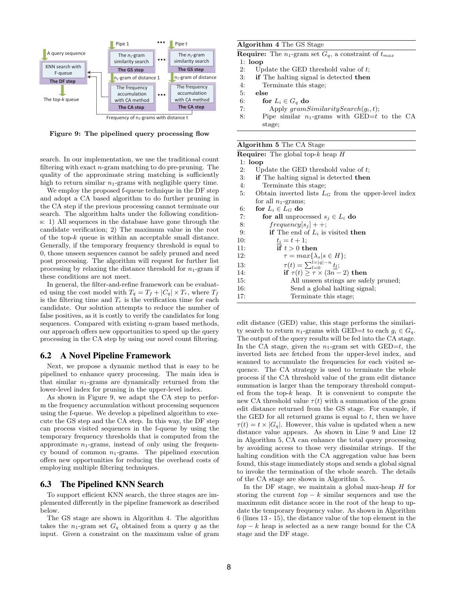

**Figure 9: The pipelined query processing flow**

search. In our implementation, we use the traditional count filtering with exact *n*-gram matching to do pre-pruning. The quality of the approximate string matching is sufficiently high to return similar  $n_1$ -grams with negligible query time.

We employ the proposed f-queue technique in the DF step and adopt a CA based algorithm to do further pruning in the CA step if the previous processing cannot terminate our search. The algorithm halts under the following conditions: 1) All sequences in the database have gone through the candidate verification; 2) The maximum value in the root of the top-*k* queue is within an acceptable small distance. Generally, if the temporary frequency threshold is equal to 0, those unseen sequences cannot be safely pruned and need post processing. The algorithm will request for further list processing by relaxing the distance threshold for  $n_1$ -gram if these conditions are not meet.

In general, the filter-and-refine framework can be evaluated using the cost model with  $T_q = T_f + |C_q| \times T_r$ , where  $T_f$ is the filtering time and  $T_r$  is the verification time for each candidate. Our solution attempts to reduce the number of false positives, as it is costly to verify the candidates for long sequences. Compared with existing *n*-gram based methods, our approach offers new opportunities to speed up the query processing in the CA step by using our novel count filtering.

# 6.2 A Novel Pipeline Framework

Next, we propose a dynamic method that is easy to be pipelined to enhance query processing. The main idea is that similar  $n_1$ -grams are dynamically returned from the lower-level index for pruning in the upper-level index.

As shown in Figure 9, we adapt the CA step to perform the frequency accumulation without processing sequences using the f-queue. We develop a pipelined algorithm to execute the GS step and the CA step. In this way, the DF step can process visited sequences in the f-queue by using the temporary frequency thresholds that is computed from the approximate  $n_1$ -grams, instead of only using the frequency bound of common *n*1-grams. The pipelined execution offers new opportunities for reducing the overhead costs of employing multiple filtering techniques.

### 6.3 The Pipelined KNN Search

To support efficient KNN search, the three stages are implemented differently in the pipeline framework as described below.

The GS stage are shown in Algorithm 4. The algorithm takes the  $n_1$ -gram set  $G_q$  obtained from a query  $q$  as the input. Given a constraint on the maximum value of gram

#### **Algorithm 4** The GS Stage

**Require:** The  $n_1$ -gram set  $G_q$ , a constraint of  $t_{max}$ 

- 1: **loop**
- 2: Update the GED threshold value of *t*;
- 3: **if** The halting signal is detected **then**
- 4: Terminate this stage;
- 5: **else**
- 6: **for**  $L_i \in G_q$  **do**
- 7: Apply *gramSimilaritySearch*(*gi, t*);
- 8: Pipe similar  $n_1$ -grams with GED= $t$  to the CA stage;

#### **Algorithm 5** The CA Stage

| <b>Require:</b> The global top-k heap $H$                    |
|--------------------------------------------------------------|
| $1:$ loop                                                    |
| Update the GED threshold value of $t$ ;<br>2:                |
| 3:<br><b>if</b> The halting signal is detected <b>then</b>   |
| 4:<br>Terminate this stage:                                  |
| 5:<br>Obtain inverted lists $L_G$ from the upper-level index |
| for all $n_1$ -grams;                                        |
| for $L_i \in L_G$ do<br>6:                                   |
| for all unprocessed $s_j \in L_i$ do<br>7:                   |
| $frequency[s_i] + +;$<br>8:                                  |
| 9:<br><b>if</b> The end of $L_i$ is visited <b>then</b>      |
| 10:<br>$t_i = t + 1;$                                        |
| if $t > 0$ then<br>11:                                       |
| $\tau = max\{\lambda_s   s \in H\};$<br>12:                  |
| $\tau(t) = \sum_{l=0}^{l= q -n} t_l;$<br>13:                 |
| if $\tau(t) \geq \tau \times (3n-2)$ then<br>14:             |
| All unseen strings are safely pruned;<br>15:                 |
| 16:<br>Send a global halting signal;                         |
| 17:<br>Terminate this stage;                                 |
|                                                              |

edit distance (GED) value, this stage performs the similarity search to return  $n_1$ -grams with GED=t to each  $g_i \in G_q$ . The output of the query results will be fed into the CA stage. In the CA stage, given the  $n_1$ -gram set with GED= $t$ , the inverted lists are fetched from the upper-level index, and scanned to accumulate the frequencies for each visited sequence. The CA strategy is used to terminate the whole process if the CA threshold value of the gram edit distance summation is larger than the temporary threshold computed from the top-*k* heap. It is convenient to compute the new CA threshold value  $\tau(t)$  with a summation of the gram edit distance returned from the GS stage. For example, if the GED for all returned grams is equal to *t*, then we have  $\tau(t) = t \times |G_a|$ . However, this value is updated when a new distance value appears. As shown in Line 9 and Line 12 in Algorithm 5, CA can enhance the total query processing by avoiding access to those very dissimilar strings. If the halting condition with the CA aggregation value has been found, this stage immediately stops and sends a global signal to invoke the termination of the whole search. The details of the CA stage are shown in Algorithm 5.

In the DF stage, we maintain a global max-heap *H* for storing the current  $top - k$  similar sequences and use the maximum edit distance score in the root of the heap to update the temporary frequency value. As shown in Algorithm 6 (lines 13 - 15), the distance value of the top element in the  $top - k$  heap is selected as a new range bound for the CA stage and the DF stage.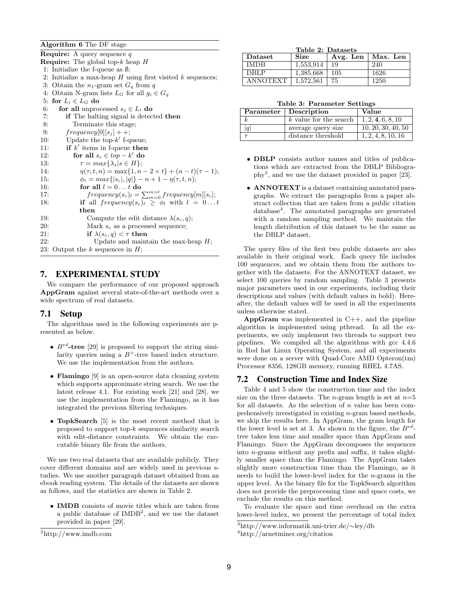**Algorithm 6** The DF stage

|     | <b>Require:</b> A query sequence q                                  |
|-----|---------------------------------------------------------------------|
|     | <b>Require:</b> The global top-k heap $H$                           |
|     | 1: Initialize the f-queue as $\emptyset$ ;                          |
|     | 2: Initialize a max-heap $H$ using first visited $k$ sequences;     |
|     | 3: Obtain the $n_1$ -gram set $G_q$ from q                          |
|     | 4: Obtain N-gram lists $L_G$ for all $g_i \in G_g$                  |
|     | 5: for $L_i \in L_G$ do                                             |
| 6:  | for all unprocessed $s_j \in L_i$ do                                |
| 7:  | if The halting signal is detected then                              |
| 8:  | Terminate this stage;                                               |
| 9:  | $frequency[0][s_i] + +;$                                            |
| 10: | Update the top- $k'$ f-queue;                                       |
| 11: | if $k'$ items in f-queue then                                       |
| 12: | for all $s_c \in top - k'$ do                                       |
| 13: | $\tau = max\{\lambda_s   s \in H\};$                                |
| 14: | $\eta(\tau, t, n) = \max\{1, n - 2 \times t\} + (n - t)(\tau - 1);$ |
| 15: | $\phi_t = max\{ s_c ,  q \} - n + 1 - \eta(\tau, t, n);$            |
| 16: | for all $l = 0t$ do                                                 |
| 17: | $frequency(s_c)_l = \sum_{m=0}^{m=l} frequency[m][s_c];$            |
| 18: | if all $frequency(s_c)_l \geq \phi_l$ with $l = 0t$                 |
|     | then                                                                |
| 19: | Compute the edit distance $\lambda(s_c, q)$ ;                       |
| 20: | Mark $s_c$ as a processed sequence;                                 |
| 21: | if $\lambda(s_c,q) < \tau$ then                                     |
| 22: | Update and maintain the max-heap $H$ ;                              |
| 23: | Output the $k$ sequences in $H$ ;                                   |

# 7. EXPERIMENTAL STUDY

We compare the performance of our proposed approach **AppGram** against several state-of-the-art methods over a wide spectrum of real datasets.

# 7.1 Setup

The algorithms used in the following experiments are presented as below.

- $B^{ed}$ **-tree** [29] is proposed to support the string similarity queries using a  $B^+$ -tree based index structure. We use the implementation from the authors.
- *•* **Flamingo** [9] is an open-source data cleaning system which supports approximate string search. We use the latest release 4.1. For existing work [21] and [28], we use the implementation from the Flamingo, as it has integrated the previous filtering techniques.
- *•* **TopkSearch** [5] is the most recent method that is proposed to support top-*k* sequences similarity search with edit-distance constraints. We obtain the executable binary file from the authors.

We use two real datasets that are available publicly. They cover different domains and are widely used in previous studies. We use another paragraph dataset obtained from an ebook reading system. The details of the datasets are shown as follows, and the statistics are shown in Table 2.

*•* **IMDB** consists of movie titles which are taken from a public database of  $IMDB<sup>2</sup>$ , and we use the dataset provided in paper [29].

**Table 2: Datasets**

| <b>Dataset</b>  | <b>Size</b> |     | Avg. Len   Max. Len |
|-----------------|-------------|-----|---------------------|
| IMDB.           | 1,553,914   | 19  | 240                 |
| DBLP.           | 1,385,668   | 105 | 1626                |
| <b>ANNOTEXT</b> | 1,572,561   | 75  | 1250                |

|  |  | Table 3: Parameter Settings |  |
|--|--|-----------------------------|--|
|--|--|-----------------------------|--|

|   | Parameter   Description  | Value              |
|---|--------------------------|--------------------|
|   | $k$ value for the search | 1, 2, 4, 6, 8, 10  |
| q | average query size       | 10, 20, 30, 40, 50 |
|   | distance threshold       | 1, 2, 4, 8, 10, 16 |

- *•* **DBLP** consists author names and titles of publications which are extracted from the DBLP Bibliography<sup>3</sup> , and we use the dataset provided in paper [23].
- *•* **ANNOTEXT** is a dataset containing annotated paragraphs. We extract the paragraphs from a paper abstract collection that are taken from a public citation database<sup>4</sup>. The annotated paragraphs are generated with a random sampling method. We maintain the length distribution of this dataset to be the same as the DBLP dataset.

The query files of the first two public datasets are also available in their original work. Each query file includes 100 sequences, and we obtain them from the authors together with the datasets. For the ANNOTEXT dataset, we select 100 queries by random sampling. Table 3 presents major parameters used in our experiments, including their descriptions and values (with default values in bold). Hereafter, the default values will be used in all the experiments unless otherwise stated.

**AppGram** was implemented in C++, and the pipeline algorithm is implemented using pthread. In all the experiments, we only implement two threads to support two pipelines. We compiled all the algorithms with gcc 4*.*4*.*6 in Red hat Linux Operating System, and all experiments were done on a server with Quad-Core AMD Opteron(tm) Processor 8356, 128GB memory, running RHEL 4*.*7AS.

# 7.2 Construction Time and Index Size

Table 4 and 5 show the construction time and the index size on the three datasets. The *n*-gram length is set at  $n=5$ for all datasets. As the selection of *n* value has been comprehensively investigated in existing *n*-gram based methods, we skip the results here. In AppGram, the gram length for the lower level is set at 3. As shown in the figure, the  $B^{ed}$ tree takes less time and smaller space than AppGram and Flamingo. Since the AppGram decomposes the sequences into *n*-grams without any prefix and suffix, it takes slightly smaller space than the Flamingo. The AppGram takes slightly more construction time than the Flamingo, as it needs to build the lower-level index for the *n*-grams in the upper level. As the binary file for the TopkSearch algorithm does not provide the preprocessing time and space costs, we exclude the results on this method.

To evaluate the space and time overhead on the extra lower-level index, we present the percentage of total index

<sup>2</sup>http://www.imdb.com

<sup>3</sup>http://www.informatik.uni-trier.de/*∼*ley/db

<sup>4</sup>http://arnetminer.org/citation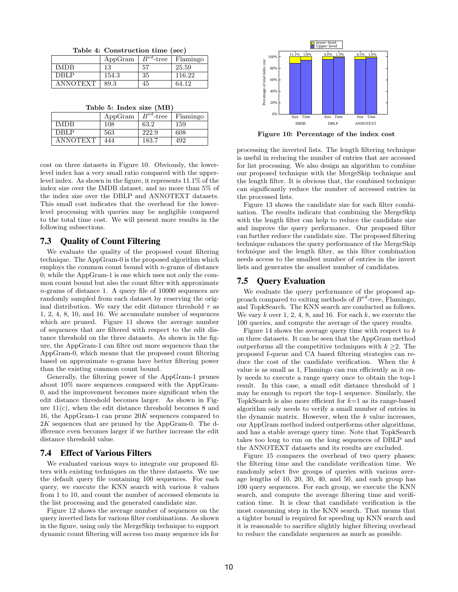**Table 4: Construction time (sec)**

|                 | AppGram | $B^{ed}\text{-tree}$ | Flamingo |
|-----------------|---------|----------------------|----------|
| <b>IMDB</b>     | 13      | .57                  | 25.59    |
| DBLP            | 154.3   | 35                   | 116.22   |
| <b>ANNOTEXT</b> | 89.3    | 45                   | 64.12    |

**Table 5: Index size (MB)**

|                 | AppGram | $B^{ed}$ -tree | Flamingo |
|-----------------|---------|----------------|----------|
| IMDB            | 108     | 63.2           | 159      |
| DBLP            | 563     | 222.9          | 608      |
| <b>ANNOTEXT</b> | 444     | 183.7          | 492      |

cost on three datasets in Figure 10. Obviously, the lowerlevel index has a very small ratio compared with the upperlevel index. As shown in the figure, it represents 11*.*1% of the index size over the IMDB dataset, and no more than 5% of the index size over the DBLP and ANNOTEXT datasets. This small cost indicates that the overhead for the lowerlevel processing with queries may be negligible compared to the total time cost. We will present more results in the following subsections.

# 7.3 Quality of Count Filtering

We evaluate the quality of the proposed count filtering technique. The AppGram-0 is the proposed algorithm which employs the common count bound with *n*-grams of distance 0; while the AppGram-1 is one which uses not only the common count bound but also the count filter with approximate *n*-grams of distance 1. A query file of 10000 sequences are randomly sampled from each dataset by reserving the original distribution. We vary the edit distance threshold  $\tau$  as 1, 2, 4, 8, 10, and 16. We accumulate number of sequences which are pruned. Figure 11 shows the average number of sequences that are filtered with respect to the edit distance threshold on the three datasets. As shown in the figure, the AppGram-1 can filter out more sequences than the AppGram-0, which means that the proposed count filtering based on approximate *n*-grams have better filtering power than the existing common count bound.

Generally, the filtering power of the AppGram-1 prunes about 10% more sequences compared with the AppGram-0, and the improvement becomes more significant when the edit distance threshold becomes larger. As shown in Figure 11(c), when the edit distance threshold becomes 8 and 16, the AppGram-1 can prune 20*K* sequences compared to 2*K* sequences that are pruned by the AppGram-0. The difference even becomes larger if we further increase the edit distance threshold value.

# 7.4 Effect of Various Filters

We evaluated various ways to integrate our proposed filters with existing techniques on the three datasets. We use the default query file containing 100 sequences. For each query, we execute the KNN search with various *k* values from 1 to 10, and count the number of accessed elements in the list processing and the generated candidate size.

Figure 12 shows the average number of sequences on the query inverted lists for various filter combinations. As shown in the figure, using only the MergeSkip technique to support dynamic count filtering will access too many sequence ids for



**Figure 10: Percentage of the index cost**

processing the inverted lists. The length filtering technique is useful in reducing the number of entries that are accessed for list processing. We also design an algorithm to combine our proposed technique with the MergeSkip technique and the length filter. It is obvious that, the combined technique can significantly reduce the number of accessed entries in the processed lists.

Figure 13 shows the candidate size for each filter combination. The results indicate that combining the MergeSkip with the length filter can help to reduce the candidate size and improve the query performance. Our proposed filter can further reduce the candidate size. The proposed filtering technique enhances the query performance of the MergeSkip technique and the length filter, as this filter combination needs access to the smallest number of entries in the invert lists and generates the smallest number of candidates.

# 7.5 Query Evaluation

We evaluate the query performance of the proposed approach compared to exiting methods of *B ed*-tree, Flamingo, and TopkSearch. The KNN search are conducted as follows. We vary *k* over 1, 2, 4, 8, and 16. For each *k*, we execute the 100 queries, and compute the average of the query results.

Figure 14 shows the average query time with respect to *k* on three datasets. It can be seen that the AppGram method outperforms all the competitive techniques with *k ≥*2. The proposed f-queue and CA based filtering strategies can reduce the cost of the candidate verification. When the *k* value is as small as 1, Flamingo can run efficiently as it only needs to execute a range query once to obtain the top-1 result. In this case, a small edit distance threshold of 1 may be enough to report the top-1 sequence. Similarly, the TopkSearch is also more efficient for *k*=1 as its range-based algorithm only needs to verify a small number of entries in the dynamic matrix. However, when the *k* value increases, our AppGram method indeed outperforms other algorithms, and has a stable average query time. Note that TopkSearch takes too long to run on the long sequences of DBLP and the ANNOTEXT datasets and its results are excluded.

Figure 15 compares the overhead of two query phases: the filtering time and the candidate verification time. We randomly select five groups of queries with various average lengths of 10, 20, 30, 40, and 50, and each group has 100 query sequences. For each group, we execute the KNN search, and compute the average filtering time and verification time. It is clear that candidate verification is the most consuming step in the KNN search. That means that a tighter bound is required for speeding up KNN search and it is reasonable to sacrifice slightly higher filtering overhead to reduce the candidate sequences as much as possible.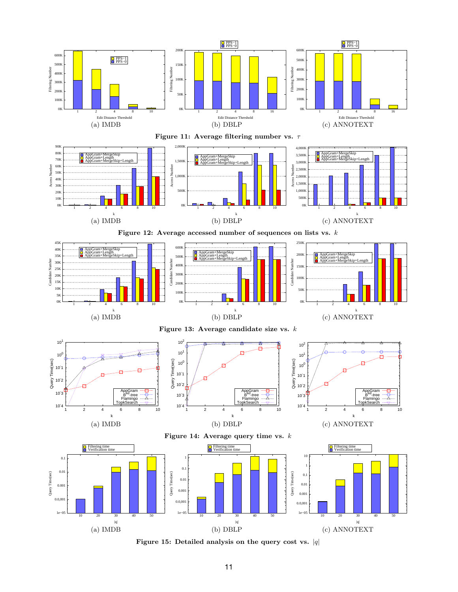

**Figure 15: Detailed analysis on the query cost vs.** *|q|*